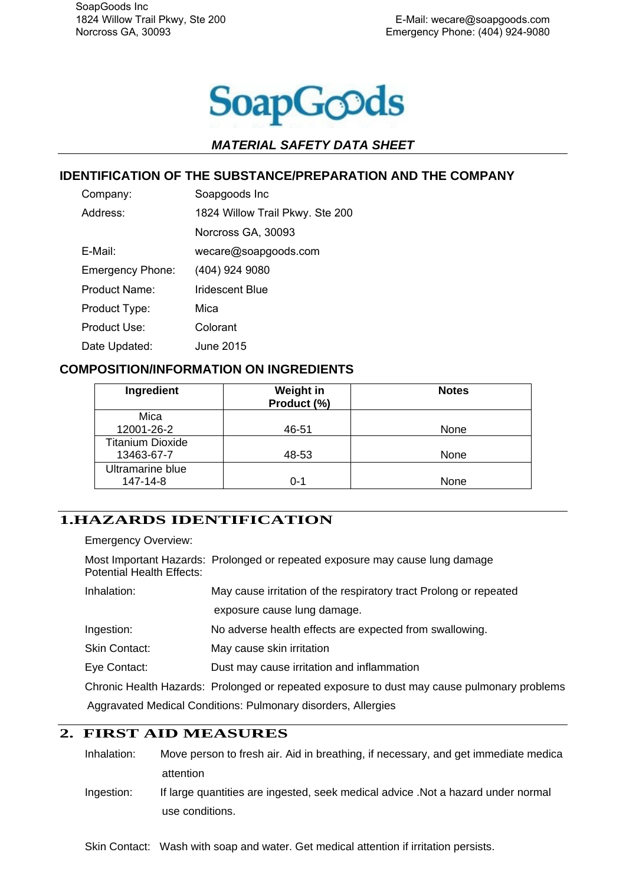

#### **IDENTIFICATION OF THE SUBSTANCE/PREPARATION AND THE COMPANY**

| Company:                | Soapgoods Inc                   |  |
|-------------------------|---------------------------------|--|
| Address:                | 1824 Willow Trail Pkwy. Ste 200 |  |
|                         | Norcross GA, 30093              |  |
| E-Mail:                 | wecare@soapgoods.com            |  |
| <b>Emergency Phone:</b> | (404) 924 9080                  |  |
| Product Name:           | Iridescent Blue                 |  |
| Product Type:           | Mica                            |  |
| Product Use:            | Colorant                        |  |
| Date Updated:           | June 2015                       |  |

#### **COMPOSITION/INFORMATION ON INGREDIENTS**

| Ingredient              | Weight in<br>Product (%) | <b>Notes</b> |
|-------------------------|--------------------------|--------------|
| Mica                    |                          |              |
| 12001-26-2              | 46-51                    | None         |
| <b>Titanium Dioxide</b> |                          |              |
| 13463-67-7              | 48-53                    | None         |
| Ultramarine blue        |                          |              |
| 147-14-8                | 0-1                      | None         |

## **1.HAZARDS IDENTIFICATION**

Emergency Overview:

Most Important Hazards: Prolonged or repeated exposure may cause lung damage Potential Health Effects:

| Inhalation:   | May cause irritation of the respiratory tract Prolong or repeated                           |  |
|---------------|---------------------------------------------------------------------------------------------|--|
|               | exposure cause lung damage.                                                                 |  |
| Ingestion:    | No adverse health effects are expected from swallowing.                                     |  |
| Skin Contact: | May cause skin irritation                                                                   |  |
| Eye Contact:  | Dust may cause irritation and inflammation                                                  |  |
|               | Chronic Health Hazards: Prolonged or repeated exposure to dust may cause pulmonary problems |  |
|               | Aggravated Medical Conditions: Pulmonary disorders, Allergies                               |  |

### **2. FIRST AID MEASURES**

| Inhalation: | Move person to fresh air. Aid in breathing, if necessary, and get immediate medica |
|-------------|------------------------------------------------------------------------------------|
|             | attention                                                                          |
| Ingestion:  | If large quantities are ingested, seek medical advice . Not a hazard under normal  |

use conditions.

Skin Contact: Wash with soap and water. Get medical attention if irritation persists.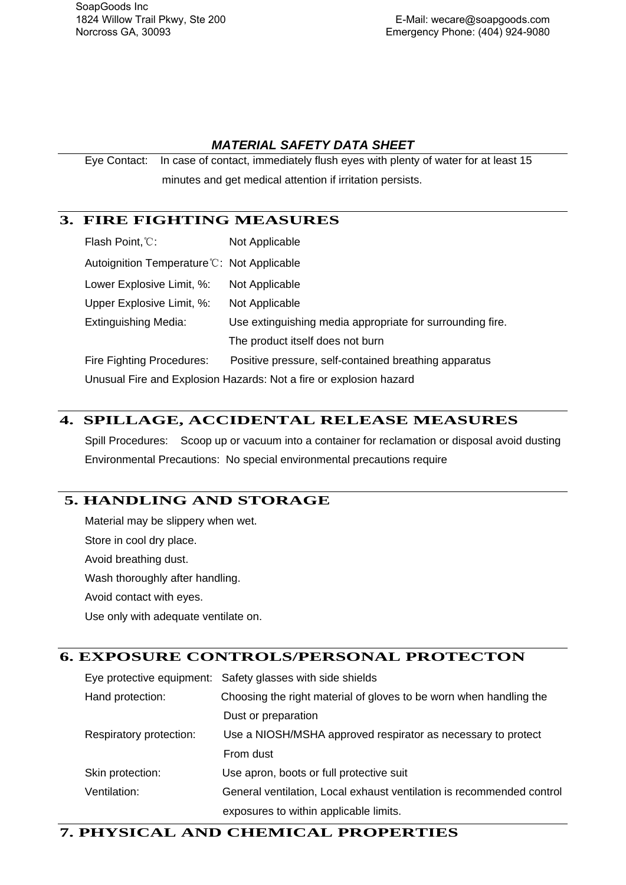SoapGoods Inc 1824 Willow Trail Pkwy, Ste 200 Norcross GA, 30093

#### *MATERIAL SAFETY DATA SHEET*

Eye Contact: In case of contact, immediately flush eyes with plenty of water for at least 15 minutes and get medical attention if irritation persists.

## **3. FIRE FIGHTING MEASURES**

| Flash Point, C:                                                    | Not Applicable                                            |  |
|--------------------------------------------------------------------|-----------------------------------------------------------|--|
| Autoignition Temperature C: Not Applicable                         |                                                           |  |
| Lower Explosive Limit, %:                                          | Not Applicable                                            |  |
| Upper Explosive Limit, %:                                          | Not Applicable                                            |  |
| <b>Extinguishing Media:</b>                                        | Use extinguishing media appropriate for surrounding fire. |  |
|                                                                    | The product itself does not burn                          |  |
| Fire Fighting Procedures:                                          | Positive pressure, self-contained breathing apparatus     |  |
| Unusual Fire and Explosion Hazards: Not a fire or explosion hazard |                                                           |  |

## **4. SPILLAGE, ACCIDENTAL RELEASE MEASURES**

Spill Procedures: Scoop up or vacuum into a container for reclamation or disposal avoid dusting Environmental Precautions: No special environmental precautions require

# **5. HANDLING AND STORAGE**

Material may be slippery when wet. Store in cool dry place. Avoid breathing dust. Wash thoroughly after handling. Avoid contact with eyes. Use only with adequate ventilate on.

## **6. EXPOSURE CONTROLS/PERSONAL PROTECTON**

Eye protective equipment: Safety glasses with side shields Hand protection: Choosing the right material of gloves to be worn when handling the Dust or preparation Respiratory protection: Use a NIOSH/MSHA approved respirator as necessary to protect From dust Skin protection: Use apron, boots or full protective suit Ventilation: General ventilation, Local exhaust ventilation is recommended control exposures to within applicable limits.

#### **7. PHYSICAL AND CHEMICAL PROPERTIES**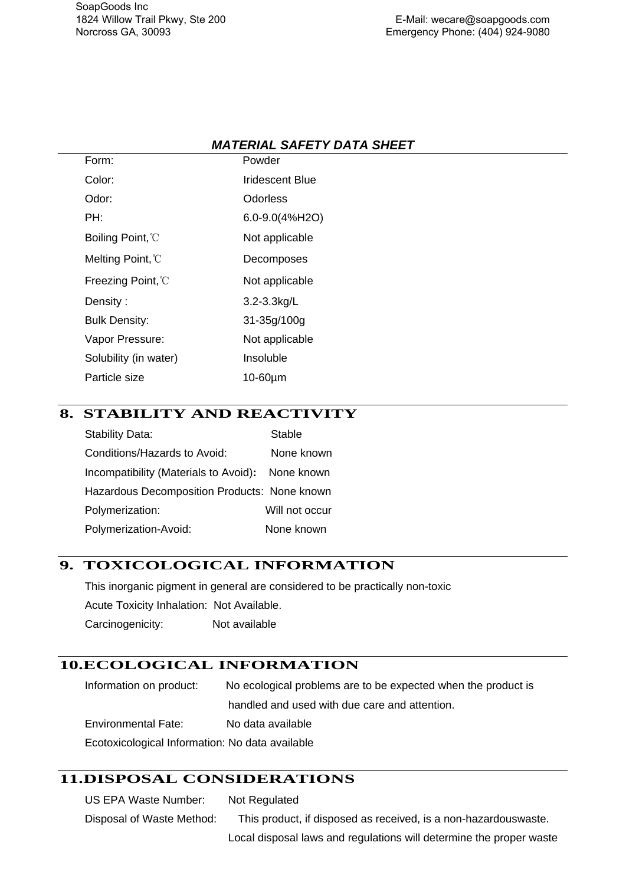| Form:                         | Powder           |
|-------------------------------|------------------|
| Color:                        | Iridescent Blue  |
| Odor:                         | Odorless         |
| PH:                           | 6.0-9.0(4%H2O)   |
| Boiling Point, <sup>n</sup> C | Not applicable   |
| Melting Point, <sup>n</sup> C | Decomposes       |
| Freezing Point, °C            | Not applicable   |
| Density:                      | $3.2 - 3.3$ kg/L |
| <b>Bulk Density:</b>          | 31-35g/100g      |
| Vapor Pressure:               | Not applicable   |
| Solubility (in water)         | Insoluble        |
| Particle size                 | 10-60µm          |

## **8. STABILITY AND REACTIVITY**

| <b>Stability Data:</b>                       | <b>Stable</b>  |
|----------------------------------------------|----------------|
| Conditions/Hazards to Avoid:                 | None known     |
| Incompatibility (Materials to Avoid):        | None known     |
| Hazardous Decomposition Products: None known |                |
| Polymerization:                              | Will not occur |
| Polymerization-Avoid:                        | None known     |

#### **9. TOXICOLOGICAL INFORMATION**

This inorganic pigment in general are considered to be practically non-toxic Acute Toxicity Inhalation: Not Available. Carcinogenicity: Not available

## **10.ECOLOGICAL INFORMATION**

Information on product: No ecological problems are to be expected when the product is handled and used with due care and attention. Environmental Fate: No data available Ecotoxicological Information: No data available

## **11.DISPOSAL CONSIDERATIONS**

US EPA Waste Number: Not Regulated Disposal of Waste Method: This product, if disposed as received, is a non-hazardouswaste.

Local disposal laws and regulations will determine the proper waste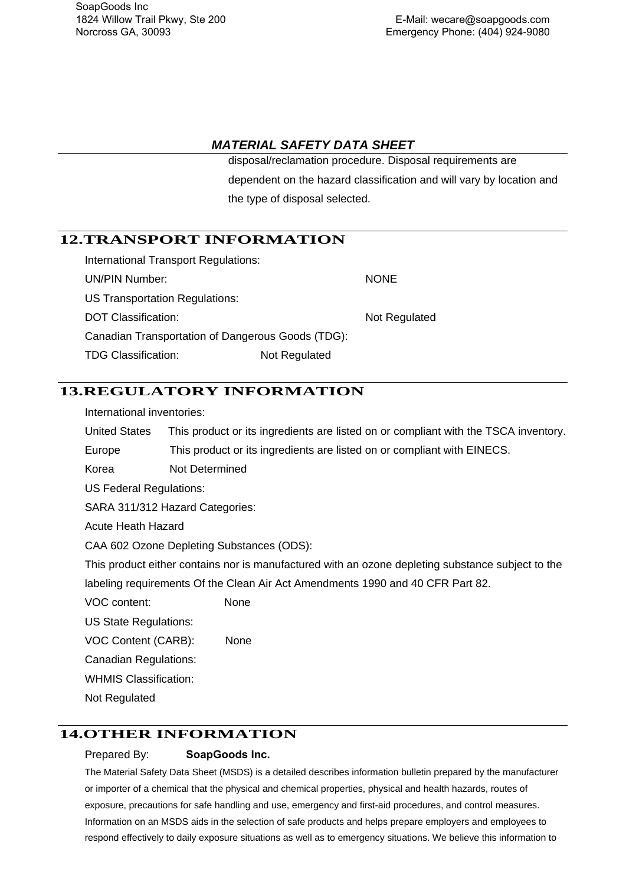disposal/reclamation procedure. Disposal requirements are dependent on the hazard classification and will vary by location and the type of disposal selected.

#### **12.TRANSPORT INFORMATION**

| International Transport Regulations:              |               |               |
|---------------------------------------------------|---------------|---------------|
| UN/PIN Number:                                    |               | <b>NONE</b>   |
| US Transportation Regulations:                    |               |               |
| DOT Classification:                               |               | Not Regulated |
| Canadian Transportation of Dangerous Goods (TDG): |               |               |
| <b>TDG Classification:</b>                        | Not Regulated |               |

#### **13.REGULATORY INFORMATION**

International inventories:

United States This product or its ingredients are listed on or compliant with the TSCA inventory.

Europe This product or its ingredients are listed on or compliant with EINECS.

Korea Not Determined

US Federal Regulations:

SARA 311/312 Hazard Categories:

Acute Heath Hazard

CAA 602 Ozone Depleting Substances (ODS):

This product either contains nor is manufactured with an ozone depleting substance subject to the labeling requirements Of the Clean Air Act Amendments 1990 and 40 CFR Part 82.

VOC content: None

US State Regulations:

VOC Content (CARB): None

Canadian Regulations:

WHMIS Classification:

Not Regulated

## **14.OTHER INFORMATION**

#### Prepared By: **SoapGoods Inc.**

The Material Safety Data Sheet (MSDS) is a detailed describes information bulletin prepared by the manufacturer or importer of a chemical that the physical and chemical properties, physical and health hazards, routes of exposure, precautions for safe handling and use, emergency and first-aid procedures, and control measures. Information on an MSDS aids in the selection of safe products and helps prepare employers and employees to respond effectively to daily exposure situations as well as to emergency situations. We believe this information to